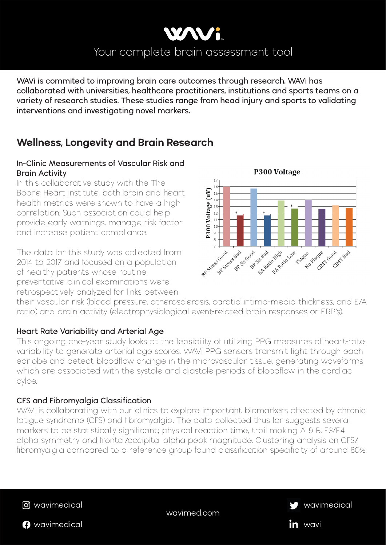

wavimed.com









**WAVi is commited to improving brain care outcomes through research. WAVi has collaborated with universities, healthcare practitioners, institutions and sports teams on a variety of research studies. These studies range from head injury and sports to validating interventions and investigating novel markers.** 

# **Wellness, Longevity and Brain Research**

## **In-Clinic Measurements of Vascular Risk and Brain Activity**

In this collaborative study with the The Boone Heart Institute, both brain and heart health metrics were shown to have a high correlation. Such association could help provide early warnings, manage risk factor and increase patient compliance.

The data for this study was collected from 2014 to 2017 and focused on a population of healthy patients whose routine preventative clinical examinations were retrospectively analyzed for links between

P300 Voltage P300 Voltage (uV)  $15$  $14$ 13 12  $10 -$ Finder Com Good six Bable P St Badio High P Secret Back See Back Cool class class Claric Good BP Stress Restre No Place Plactue No

their vascular risk (blood pressure, atherosclerosis, carotid intima-media thickness, and E/A ratio) and brain activity (electrophysiological event-related brain responses or ERP's).

## **Heart Rate Variability and Arterial Age**

This ongoing one-year study looks at the feasibility of utilizing PPG measures of heart-rate variability to generate arterial age scores. WAVi PPG sensors transmit light through each earlobe and detect bloodflow change in the microvascular tissue, generating waveforms which are associated with the systole and diastole periods of bloodflow in the cardiac cylce.

## **CFS and Fibromyalgia Classification**

WAVi is collaborating with our clinics to explore important biomarkers affected by chronic

fatigue syndrome (CFS) and fibromyalgia. The data collected thus far suggests several markers to be statistically significant; physical reaction time, trail making A & B, F3/F4 alpha symmetry and frontal/occipital alpha peak magnitude. Clustering analysis on CFS/ fibromyalgia compared to a reference group found classification specificity of around 80%.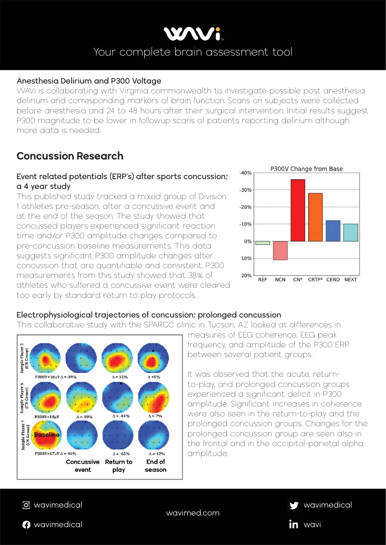

#### wavimed.com









### **Anesthesia Delirium and P300 Voltage**

WAVi is collaborating with Virginia commonwealth to investigate possible post anesthesia delirium and corresponding markers of brain function. Scans on subjects were collected before anesthesia and 24 to 48 hours after their surgical intervention. Initial results suggest P300 magnitude to be lower in followup scans of patients reporting delirium although more data is needed.

# **Concussion Research**

### **Event related potentials (ERP's) after sports concussion; a 4 year study**

This published study tracked a mixed group of Division 1 athletes pre-season, after a concussive event and at the end of the season. The study showed that concussed players experienced significant reaction time and/or P300 amplitude changes compared to pre-concussion baseline measurements. This data suggests significant P300 amplitude changes after concussion that are quantifiable and consistent. P300 measurements from this study showed that 38% of athletes who suffered a concussive event were cleared too early by standard return to play protocols.



# **Electrophysiological trajectories of concussion; prolonged concussion**

This collaborative study with the SPARCC clinic in Tucson, AZ looked at differences in



measures of EEG coherence, EEG peak frequency, and amplitude of the P300 ERP between several patient groups.

It was observed that the acute, returnto-play, and prolonged concussion groups experienced a significant deficit in P300 amplitude. Significant increases in coherence were also seen in the return-to-play and the prolonged concussion groups. Changes for the prolonged concussion group are seen also in the frontal and in the occipital-parietal alpha amplitude.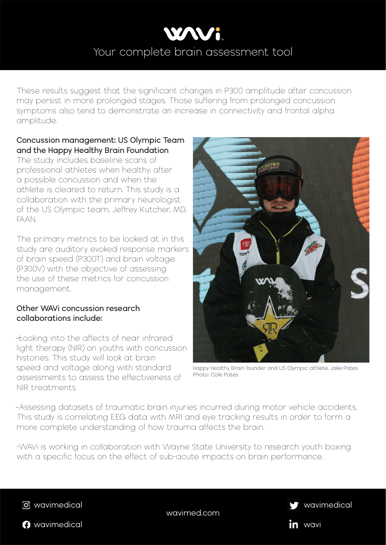

wavimed.com







in wavi

These results suggest that the significant changes in P300 amplitude after concussion may persist in more prolonged stages. Those suffering from prolonged concussion symptoms also tend to demonstrate an increase in connectivity and frontal alpha amplitude.

### **Concussion management: US Olympic Team and the Happy Healthy Brain Foundation**

The study includes baseline scans of professional athletes when healthy, after a possible concussion and when the athlete is cleared to return. This study is a collaboration with the primary neurologist of the US Olympic team, Jeffrey Kutcher, MD, FAAN.

The primary metrics to be looked at in this study are auditory evoked response markers of brain speed (P300T) and brain voltage (P300V) with the objective of assessing the use of these metrics for concussion management.

### **Other WAVi concussion research collaborations include:**

 ̵L̶ ooking into the affects of near infrared light therapy (NIR) on youths with concussion histories. This study will look at brain speed and voltage along with standard assessments to assess the effectiveness of NIR treatments.

This study is correlating EEG data with MRI and eye tracking results in order to form a more complete understanding of how trauma affects the brain.

-WAVi is working in collaboration with Wayne State University to research youth boxing with a specific focus on the effect of sub-acute impacts on brain performance.



Happy Healthy Brain founder and US Olympic athlete, Jake Pates Photo: Cole Pates

-Assessing datasets of traumatic brain injuries incurred during motor vehicle accidents.